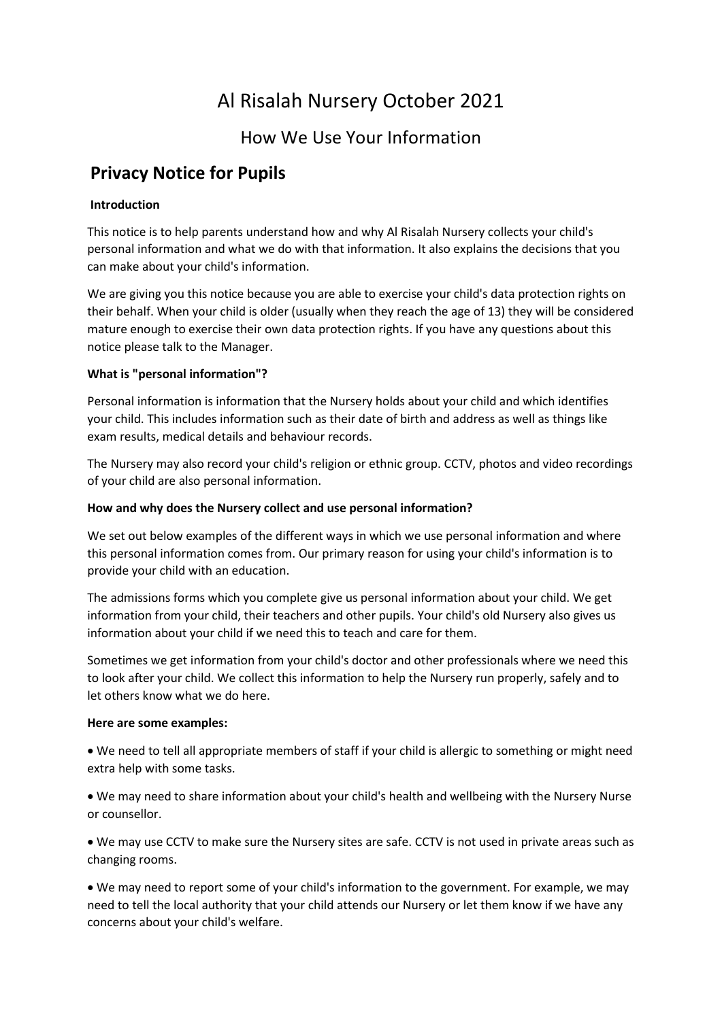# Al Risalah Nursery October 2021

### How We Use Your Information

## **Privacy Notice for Pupils**

#### **Introduction**

This notice is to help parents understand how and why Al Risalah Nursery collects your child's personal information and what we do with that information. It also explains the decisions that you can make about your child's information.

We are giving you this notice because you are able to exercise your child's data protection rights on their behalf. When your child is older (usually when they reach the age of 13) they will be considered mature enough to exercise their own data protection rights. If you have any questions about this notice please talk to the Manager.

#### **What is "personal information"?**

Personal information is information that the Nursery holds about your child and which identifies your child. This includes information such as their date of birth and address as well as things like exam results, medical details and behaviour records.

The Nursery may also record your child's religion or ethnic group. CCTV, photos and video recordings of your child are also personal information.

#### **How and why does the Nursery collect and use personal information?**

We set out below examples of the different ways in which we use personal information and where this personal information comes from. Our primary reason for using your child's information is to provide your child with an education.

The admissions forms which you complete give us personal information about your child. We get information from your child, their teachers and other pupils. Your child's old Nursery also gives us information about your child if we need this to teach and care for them.

Sometimes we get information from your child's doctor and other professionals where we need this to look after your child. We collect this information to help the Nursery run properly, safely and to let others know what we do here.

#### **Here are some examples:**

• We need to tell all appropriate members of staff if your child is allergic to something or might need extra help with some tasks.

• We may need to share information about your child's health and wellbeing with the Nursery Nurse or counsellor.

• We may use CCTV to make sure the Nursery sites are safe. CCTV is not used in private areas such as changing rooms.

• We may need to report some of your child's information to the government. For example, we may need to tell the local authority that your child attends our Nursery or let them know if we have any concerns about your child's welfare.